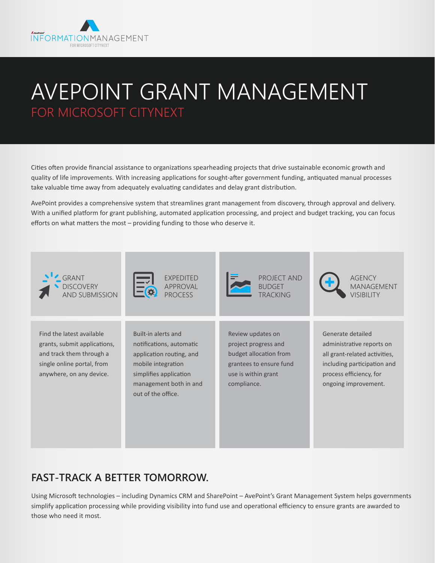

# AVEPOINT GRANT MANAGEMENT FOR MICROSOFT CITYNEXT

Cities often provide financial assistance to organizations spearheading projects that drive sustainable economic growth and quality of life improvements. With increasing applications for sought-after government funding, antiquated manual processes take valuable time away from adequately evaluating candidates and delay grant distribution.

AvePoint provides a comprehensive system that streamlines grant management from discovery, through approval and delivery. With a unified platform for grant publishing, automated application processing, and project and budget tracking, you can focus efforts on what matters the most – providing funding to those who deserve it.



## **FAST-TRACK A BETTER TOMORROW.**

Using Microsoft technologies – including Dynamics CRM and SharePoint – AvePoint's Grant Management System helps governments simplify application processing while providing visibility into fund use and operational efficiency to ensure grants are awarded to those who need it most.